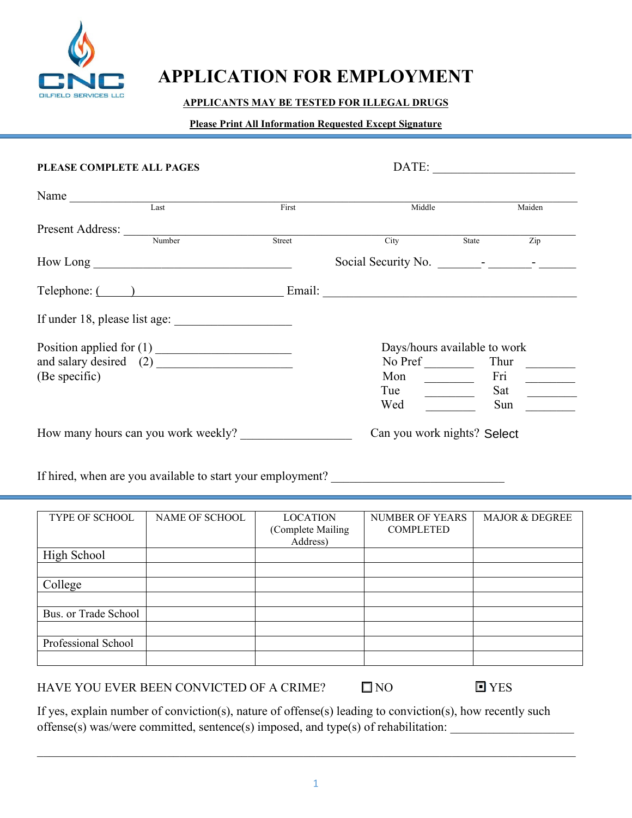

High School

Bus. or Trade School

Professional School

College

# **APPLICATION FOR EMPLOYMENT**

#### **APPLICANTS MAY BE TESTED FOR ILLEGAL DRUGS**

#### **Please Print All Information Requested Except Signature**

| PLEASE COMPLETE ALL PAGES                                                         |                |                                                  | DATE:                                      |                           |  |  |
|-----------------------------------------------------------------------------------|----------------|--------------------------------------------------|--------------------------------------------|---------------------------|--|--|
| Name Last                                                                         |                |                                                  |                                            |                           |  |  |
|                                                                                   |                | First                                            | Middle                                     | Maiden                    |  |  |
| Present Address: Number                                                           |                |                                                  |                                            |                           |  |  |
|                                                                                   |                | Street                                           | City                                       | State<br>$\overline{Zip}$ |  |  |
| $How Long \_\_$                                                                   |                |                                                  |                                            |                           |  |  |
|                                                                                   |                |                                                  | Telephone: ( ) Email: Email:               |                           |  |  |
|                                                                                   |                |                                                  |                                            |                           |  |  |
| Days/hours available to work                                                      |                |                                                  |                                            |                           |  |  |
|                                                                                   |                |                                                  |                                            |                           |  |  |
| (Be specific)                                                                     |                |                                                  | Mon                                        | Fri                       |  |  |
|                                                                                   |                |                                                  | Tue                                        | Sat                       |  |  |
|                                                                                   |                |                                                  | Wed                                        | Sun                       |  |  |
| How many hours can you work weekly?<br>Can you work nights? Select                |                |                                                  |                                            |                           |  |  |
| If hired, when are you available to start your employment? ______________________ |                |                                                  |                                            |                           |  |  |
|                                                                                   |                |                                                  |                                            |                           |  |  |
| TYPE OF SCHOOL                                                                    | NAME OF SCHOOL | <b>LOCATION</b><br>(Complete Mailing<br>Address) | <b>NUMBER OF YEARS</b><br><b>COMPLETED</b> | <b>MAJOR &amp; DEGREE</b> |  |  |

HAVE YOU EVER BEEN CONVICTED OF A CRIME?  $\Box$  NO

■ YES

If yes, explain number of conviction(s), nature of offense(s) leading to conviction(s), how recently such offense(s) was/were committed, sentence(s) imposed, and type(s) of rehabilitation:

 $\mathcal{L}_\mathcal{L} = \{ \mathcal{L}_\mathcal{L} = \{ \mathcal{L}_\mathcal{L} = \{ \mathcal{L}_\mathcal{L} = \{ \mathcal{L}_\mathcal{L} = \{ \mathcal{L}_\mathcal{L} = \{ \mathcal{L}_\mathcal{L} = \{ \mathcal{L}_\mathcal{L} = \{ \mathcal{L}_\mathcal{L} = \{ \mathcal{L}_\mathcal{L} = \{ \mathcal{L}_\mathcal{L} = \{ \mathcal{L}_\mathcal{L} = \{ \mathcal{L}_\mathcal{L} = \{ \mathcal{L}_\mathcal{L} = \{ \mathcal{L}_\mathcal{$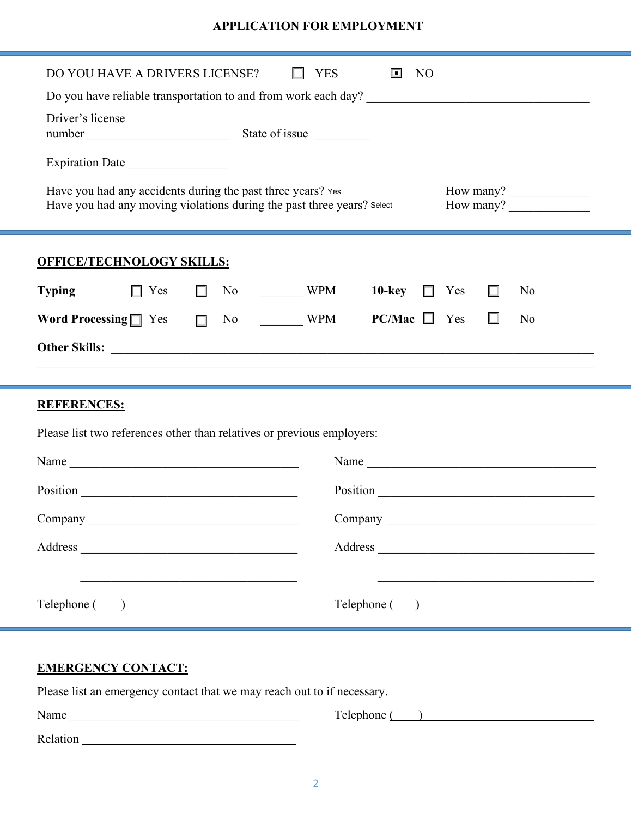### **APPLICATION FOR EMPLOYMENT**

| DO YOU HAVE A DRIVERS LICENSE?                                                                                                                                                  | <b>YES</b><br>回<br>N <sub>O</sub> |  |  |  |
|---------------------------------------------------------------------------------------------------------------------------------------------------------------------------------|-----------------------------------|--|--|--|
|                                                                                                                                                                                 |                                   |  |  |  |
| Driver's license                                                                                                                                                                |                                   |  |  |  |
| Expiration Date                                                                                                                                                                 |                                   |  |  |  |
| Have you had any accidents during the past three years? Yes<br>How many?<br>Have you had any moving violations during the past three years? Select<br>How many? $\qquad \qquad$ |                                   |  |  |  |
| <b>OFFICE/TECHNOLOGY SKILLS:</b>                                                                                                                                                |                                   |  |  |  |
| <b>Typing</b><br>$No \t MPM$<br>$\Box$ Yes<br>$\Box$                                                                                                                            | 10-key $\Box$<br>Yes<br>No        |  |  |  |
| Word Processing $\Box$ Yes $\Box$<br>No WPM                                                                                                                                     | $PC/Mac$ $\Box$ Yes<br>П<br>No    |  |  |  |
|                                                                                                                                                                                 |                                   |  |  |  |
|                                                                                                                                                                                 |                                   |  |  |  |
| <b>REFERENCES:</b>                                                                                                                                                              |                                   |  |  |  |
| Please list two references other than relatives or previous employers:                                                                                                          |                                   |  |  |  |
|                                                                                                                                                                                 |                                   |  |  |  |
|                                                                                                                                                                                 |                                   |  |  |  |
|                                                                                                                                                                                 |                                   |  |  |  |
|                                                                                                                                                                                 | Address                           |  |  |  |
|                                                                                                                                                                                 |                                   |  |  |  |
| Telephone ( )                                                                                                                                                                   | Telephone ( )                     |  |  |  |
|                                                                                                                                                                                 |                                   |  |  |  |
| <b>EMERGENCY CONTACT:</b><br>Please list an emergency contact that we may reach out to if necessary.                                                                            |                                   |  |  |  |

| Name     | Telephone |
|----------|-----------|
| Relation |           |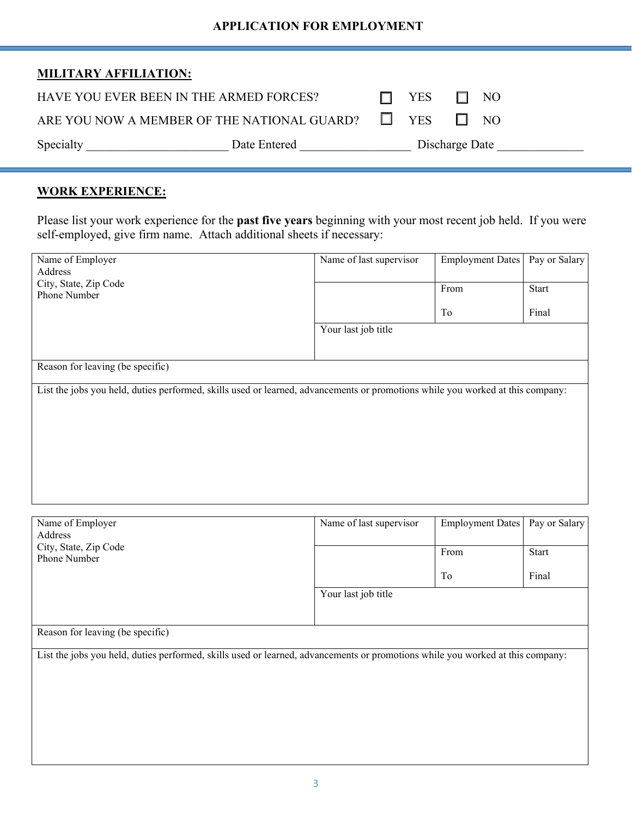#### **APPLICATION FOR EMPLOYMENT**

| <b>MILITARY AFFILIATION:</b> |
|------------------------------|
|------------------------------|

| Specialty                               | Date Entered                                              | Discharge Date |       |           |  |
|-----------------------------------------|-----------------------------------------------------------|----------------|-------|-----------|--|
|                                         | ARE YOU NOW A MEMBER OF THE NATIONAL GUARD? $\square$ YES |                |       | $\Box$ NO |  |
| HAVE YOU EVER BEEN IN THE ARMED FORCES? |                                                           |                | . YES | $\Box$ NO |  |

#### **WORK EXPERIENCE:**

Please list your work experience for the **past five years** beginning with your most recent job held. If you were self-employed, give firm name. Attach additional sheets if necessary:

| Name of Employer                                                                                                               | Name of last supervisor | <b>Employment Dates</b> | Pay or Salary |  |
|--------------------------------------------------------------------------------------------------------------------------------|-------------------------|-------------------------|---------------|--|
| Address                                                                                                                        |                         |                         |               |  |
| City, State, Zip Code                                                                                                          |                         | From                    | Start         |  |
| Phone Number                                                                                                                   |                         |                         |               |  |
|                                                                                                                                |                         | To                      | Final         |  |
|                                                                                                                                | Your last job title     |                         |               |  |
|                                                                                                                                |                         |                         |               |  |
| Reason for leaving (be specific)                                                                                               |                         |                         |               |  |
| List the jobs you held, duties performed, skills used or learned, advancements or promotions while you worked at this company: |                         |                         |               |  |
|                                                                                                                                |                         |                         |               |  |
|                                                                                                                                |                         |                         |               |  |
|                                                                                                                                |                         |                         |               |  |
|                                                                                                                                |                         |                         |               |  |
|                                                                                                                                |                         |                         |               |  |
|                                                                                                                                |                         |                         |               |  |
|                                                                                                                                |                         |                         |               |  |

| Name of Employer<br>Address                                                                                                    | Name of last supervisor | Employment Dates | Pay or Salary |  |
|--------------------------------------------------------------------------------------------------------------------------------|-------------------------|------------------|---------------|--|
| City, State, Zip Code<br>Phone Number                                                                                          |                         | From             | Start         |  |
|                                                                                                                                |                         | To               | Final         |  |
|                                                                                                                                | Your last job title     |                  |               |  |
| Reason for leaving (be specific)                                                                                               |                         |                  |               |  |
| List the jobs you held, duties performed, skills used or learned, advancements or promotions while you worked at this company: |                         |                  |               |  |
|                                                                                                                                |                         |                  |               |  |
|                                                                                                                                |                         |                  |               |  |
|                                                                                                                                |                         |                  |               |  |
|                                                                                                                                |                         |                  |               |  |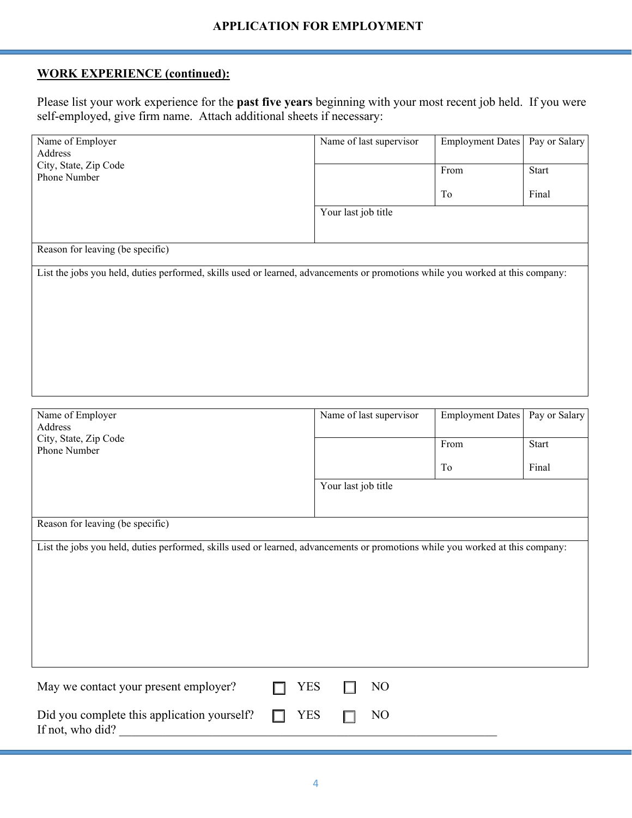## **WORK EXPERIENCE (continued):**

Please list your work experience for the **past five years** beginning with your most recent job held. If you were self-employed, give firm name. Attach additional sheets if necessary:

| Name of Employer<br>Address                                                                                                    | Name of last supervisor | <b>Employment Dates</b> | Pay or Salary |  |  |
|--------------------------------------------------------------------------------------------------------------------------------|-------------------------|-------------------------|---------------|--|--|
| City, State, Zip Code<br>Phone Number                                                                                          |                         | From                    | Start         |  |  |
|                                                                                                                                |                         | To                      | Final         |  |  |
|                                                                                                                                | Your last job title     |                         |               |  |  |
|                                                                                                                                |                         |                         |               |  |  |
| Reason for leaving (be specific)                                                                                               |                         |                         |               |  |  |
| List the jobs you held, duties performed, skills used or learned, advancements or promotions while you worked at this company: |                         |                         |               |  |  |
|                                                                                                                                |                         |                         |               |  |  |
|                                                                                                                                |                         |                         |               |  |  |
|                                                                                                                                |                         |                         |               |  |  |
|                                                                                                                                |                         |                         |               |  |  |
|                                                                                                                                |                         |                         |               |  |  |
|                                                                                                                                |                         |                         |               |  |  |
| Name of Employer                                                                                                               | Name of last supervisor | <b>Employment Dates</b> | Pay or Salary |  |  |
| Address<br>City, State, Zip Code                                                                                               |                         |                         |               |  |  |
| Phone Number                                                                                                                   |                         | From                    | Start         |  |  |
|                                                                                                                                |                         | To                      | Final         |  |  |
|                                                                                                                                | Your last job title     |                         |               |  |  |
|                                                                                                                                |                         |                         |               |  |  |
| Reason for leaving (be specific)                                                                                               |                         |                         |               |  |  |
| List the jobs you held, duties performed, skills used or learned, advancements or promotions while you worked at this company: |                         |                         |               |  |  |
|                                                                                                                                |                         |                         |               |  |  |
|                                                                                                                                |                         |                         |               |  |  |
|                                                                                                                                |                         |                         |               |  |  |
|                                                                                                                                |                         |                         |               |  |  |
|                                                                                                                                |                         |                         |               |  |  |
|                                                                                                                                |                         |                         |               |  |  |
| May we contact your present employer?<br><b>YES</b>                                                                            | N <sub>O</sub>          |                         |               |  |  |
| Did you complete this application yourself?<br><b>YES</b><br>If not, who did?                                                  | N <sub>O</sub>          |                         |               |  |  |